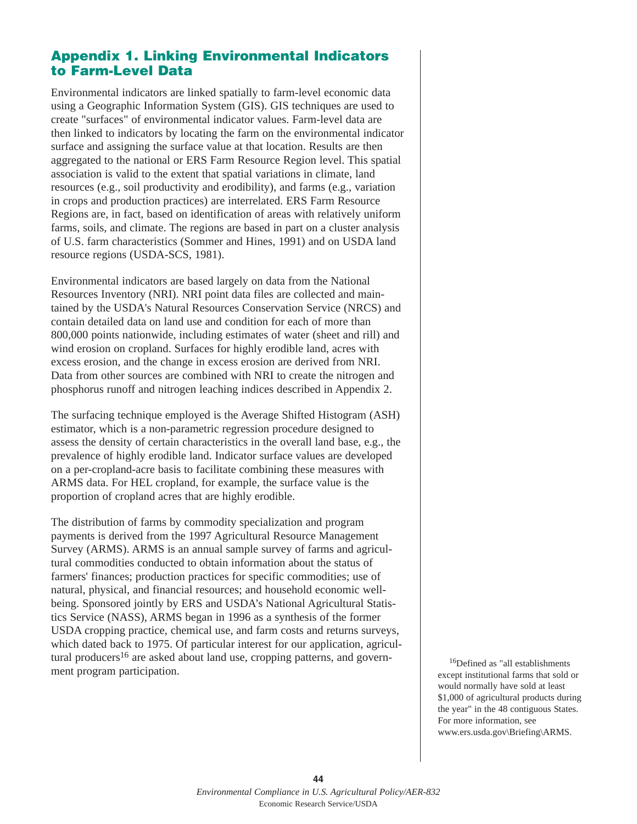# **Appendix 1. Linking Environmental Indicators to Farm-Level Data**

Environmental indicators are linked spatially to farm-level economic data using a Geographic Information System (GIS). GIS techniques are used to create "surfaces" of environmental indicator values. Farm-level data are then linked to indicators by locating the farm on the environmental indicator surface and assigning the surface value at that location. Results are then aggregated to the national or ERS Farm Resource Region level. This spatial association is valid to the extent that spatial variations in climate, land resources (e.g., soil productivity and erodibility), and farms (e.g., variation in crops and production practices) are interrelated. ERS Farm Resource Regions are, in fact, based on identification of areas with relatively uniform farms, soils, and climate. The regions are based in part on a cluster analysis of U.S. farm characteristics (Sommer and Hines, 1991) and on USDA land resource regions (USDA-SCS, 1981).

Environmental indicators are based largely on data from the National Resources Inventory (NRI). NRI point data files are collected and maintained by the USDA's Natural Resources Conservation Service (NRCS) and contain detailed data on land use and condition for each of more than 800,000 points nationwide, including estimates of water (sheet and rill) and wind erosion on cropland. Surfaces for highly erodible land, acres with excess erosion, and the change in excess erosion are derived from NRI. Data from other sources are combined with NRI to create the nitrogen and phosphorus runoff and nitrogen leaching indices described in Appendix 2.

The surfacing technique employed is the Average Shifted Histogram (ASH) estimator, which is a non-parametric regression procedure designed to assess the density of certain characteristics in the overall land base, e.g., the prevalence of highly erodible land. Indicator surface values are developed on a per-cropland-acre basis to facilitate combining these measures with ARMS data. For HEL cropland, for example, the surface value is the proportion of cropland acres that are highly erodible.

The distribution of farms by commodity specialization and program payments is derived from the 1997 Agricultural Resource Management Survey (ARMS). ARMS is an annual sample survey of farms and agricultural commodities conducted to obtain information about the status of farmers' finances; production practices for specific commodities; use of natural, physical, and financial resources; and household economic wellbeing. Sponsored jointly by ERS and USDA's National Agricultural Statistics Service (NASS), ARMS began in 1996 as a synthesis of the former USDA cropping practice, chemical use, and farm costs and returns surveys, which dated back to 1975. Of particular interest for our application, agricultural producers<sup>16</sup> are asked about land use, cropping patterns, and government program participation.

16Defined as "all establishments except institutional farms that sold or would normally have sold at least \$1,000 of agricultural products during the year" in the 48 contiguous States. For more information, see www.ers.usda.gov\Briefing\ARMS.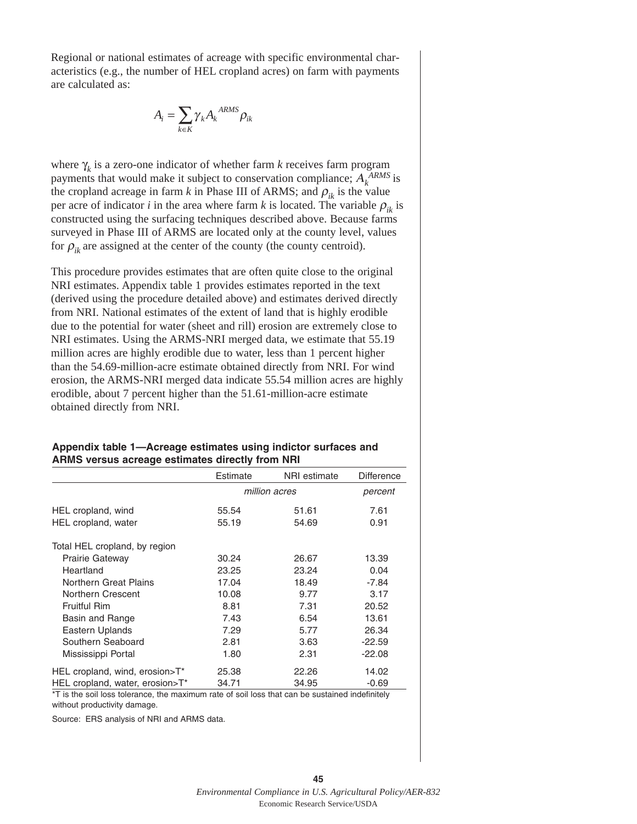Regional or national estimates of acreage with specific environmental characteristics (e.g., the number of HEL cropland acres) on farm with payments are calculated as:

$$
A_i = \sum_{k \in K} \gamma_k A_k^{ARMS} \rho_{ik}
$$

where  $\gamma_k$  is a zero-one indicator of whether farm *k* receives farm program payments that would make it subject to conservation compliance;  $A_k^{ARMS}$  is the cropland acreage in farm *k* in Phase III of ARMS; and  $\rho_{ik}$  is the value per acre of indicator *i* in the area where farm *k* is located. The variable  $\rho_{ik}$  is constructed using the surfacing techniques described above. Because farms surveyed in Phase III of ARMS are located only at the county level, values for  $\rho_{ik}$  are assigned at the center of the county (the county centroid).

This procedure provides estimates that are often quite close to the original NRI estimates. Appendix table 1 provides estimates reported in the text (derived using the procedure detailed above) and estimates derived directly from NRI. National estimates of the extent of land that is highly erodible due to the potential for water (sheet and rill) erosion are extremely close to NRI estimates. Using the ARMS-NRI merged data, we estimate that 55.19 million acres are highly erodible due to water, less than 1 percent higher than the 54.69-million-acre estimate obtained directly from NRI. For wind erosion, the ARMS-NRI merged data indicate 55.54 million acres are highly erodible, about 7 percent higher than the 51.61-million-acre estimate obtained directly from NRI.

| Appendix table 1-Acreage estimates using indictor surfaces and |  |
|----------------------------------------------------------------|--|
| ARMS versus acreage estimates directly from NRI                |  |

|                                 | Estimate | NRI estimate  | <b>Difference</b> |
|---------------------------------|----------|---------------|-------------------|
|                                 |          | million acres | percent           |
| HEL cropland, wind              | 55.54    | 51.61         | 7.61              |
| HEL cropland, water             | 55.19    | 54.69         | 0.91              |
| Total HEL cropland, by region   |          |               |                   |
| <b>Prairie Gateway</b>          | 30.24    | 26.67         | 13.39             |
| Heartland                       | 23.25    | 23.24         | 0.04              |
| Northern Great Plains           | 17.04    | 18.49         | $-7.84$           |
| Northern Crescent               | 10.08    | 9.77          | 3.17              |
| Fruitful Rim                    | 8.81     | 7.31          | 20.52             |
| Basin and Range                 | 7.43     | 6.54          | 13.61             |
| Eastern Uplands                 | 7.29     | 5.77          | 26.34             |
| Southern Seaboard               | 2.81     | 3.63          | $-22.59$          |
| Mississippi Portal              | 1.80     | 2.31          | $-22.08$          |
| HEL cropland, wind, erosion>T*  | 25.38    | 22.26         | 14.02             |
| HEL cropland, water, erosion>T* | 34.71    | 34.95         | $-0.69$           |

\*T is the soil loss tolerance, the maximum rate of soil loss that can be sustained indefinitely without productivity damage.

Source: ERS analysis of NRI and ARMS data.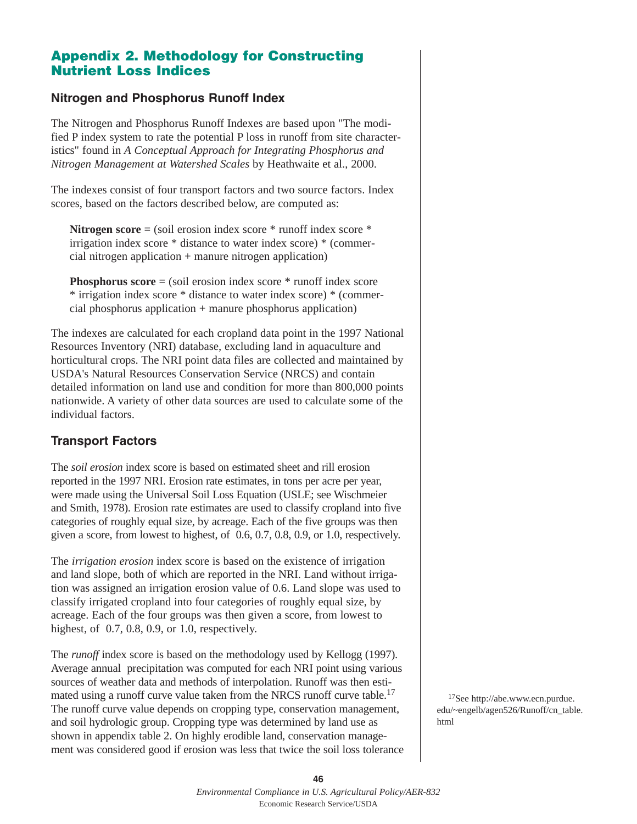## **Appendix 2. Methodology for Constructing Nutrient Loss Indices**

### **Nitrogen and Phosphorus Runoff Index**

The Nitrogen and Phosphorus Runoff Indexes are based upon "The modified P index system to rate the potential P loss in runoff from site characteristics" found in *A Conceptual Approach for Integrating Phosphorus and Nitrogen Management at Watershed Scales* by Heathwaite et al., 2000.

The indexes consist of four transport factors and two source factors. Index scores, based on the factors described below, are computed as:

**Nitrogen score** = (soil erosion index score \* runoff index score \* irrigation index score \* distance to water index score) \* (commercial nitrogen application + manure nitrogen application)

**Phosphorus score** = (soil erosion index score \* runoff index score \* irrigation index score \* distance to water index score) \* (commercial phosphorus application + manure phosphorus application)

The indexes are calculated for each cropland data point in the 1997 National Resources Inventory (NRI) database, excluding land in aquaculture and horticultural crops. The NRI point data files are collected and maintained by USDA's Natural Resources Conservation Service (NRCS) and contain detailed information on land use and condition for more than 800,000 points nationwide. A variety of other data sources are used to calculate some of the individual factors.

## **Transport Factors**

The *soil erosion* index score is based on estimated sheet and rill erosion reported in the 1997 NRI. Erosion rate estimates, in tons per acre per year, were made using the Universal Soil Loss Equation (USLE; see Wischmeier and Smith, 1978). Erosion rate estimates are used to classify cropland into five categories of roughly equal size, by acreage. Each of the five groups was then given a score, from lowest to highest, of 0.6, 0.7, 0.8, 0.9, or 1.0, respectively.

The *irrigation erosion* index score is based on the existence of irrigation and land slope, both of which are reported in the NRI. Land without irrigation was assigned an irrigation erosion value of 0.6. Land slope was used to classify irrigated cropland into four categories of roughly equal size, by acreage. Each of the four groups was then given a score, from lowest to highest, of 0.7, 0.8, 0.9, or 1.0, respectively.

The *runoff* index score is based on the methodology used by Kellogg (1997). Average annual precipitation was computed for each NRI point using various sources of weather data and methods of interpolation. Runoff was then estimated using a runoff curve value taken from the NRCS runoff curve table.<sup>17</sup> The runoff curve value depends on cropping type, conservation management, and soil hydrologic group. Cropping type was determined by land use as shown in appendix table 2. On highly erodible land, conservation management was considered good if erosion was less that twice the soil loss tolerance

17See http://abe.www.ecn.purdue. edu/~engelb/agen526/Runoff/cn\_table. html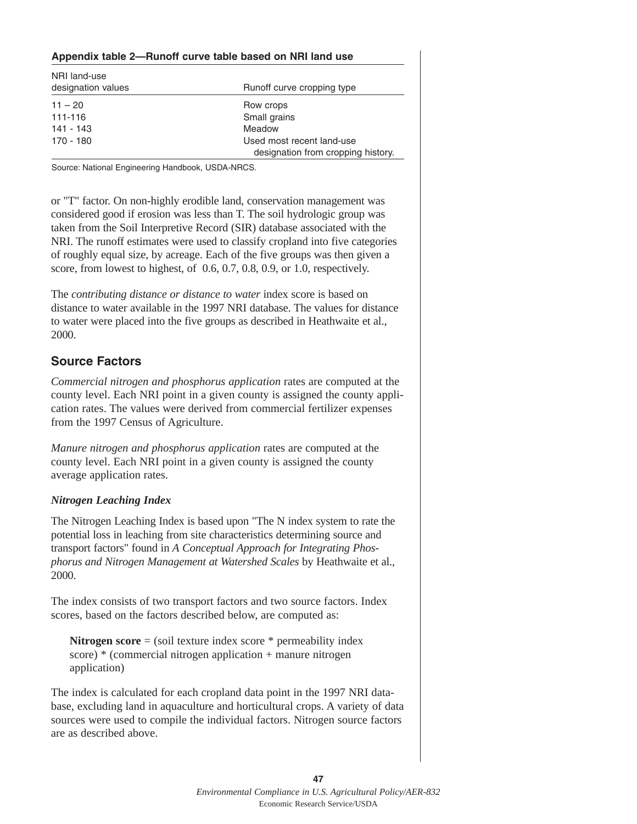#### **Appendix table 2—Runoff curve table based on NRI land use**

| NRI land-use<br>designation values | Runoff curve cropping type                                      |
|------------------------------------|-----------------------------------------------------------------|
| $11 - 20$                          | Row crops                                                       |
| 111-116                            | Small grains                                                    |
| 141 - 143                          | Meadow                                                          |
| 170 - 180                          | Used most recent land-use<br>designation from cropping history. |

Source: National Engineering Handbook, USDA-NRCS.

or "T" factor. On non-highly erodible land, conservation management was considered good if erosion was less than T. The soil hydrologic group was taken from the Soil Interpretive Record (SIR) database associated with the NRI. The runoff estimates were used to classify cropland into five categories of roughly equal size, by acreage. Each of the five groups was then given a score, from lowest to highest, of 0.6, 0.7, 0.8, 0.9, or 1.0, respectively.

The *contributing distance or distance to water* index score is based on distance to water available in the 1997 NRI database. The values for distance to water were placed into the five groups as described in Heathwaite et al., 2000.

### **Source Factors**

*Commercial nitrogen and phosphorus application* rates are computed at the county level. Each NRI point in a given county is assigned the county application rates. The values were derived from commercial fertilizer expenses from the 1997 Census of Agriculture.

*Manure nitrogen and phosphorus application* rates are computed at the county level. Each NRI point in a given county is assigned the county average application rates.

#### *Nitrogen Leaching Index*

The Nitrogen Leaching Index is based upon "The N index system to rate the potential loss in leaching from site characteristics determining source and transport factors" found in *A Conceptual Approach for Integrating Phosphorus and Nitrogen Management at Watershed Scales* by Heathwaite et al., 2000.

The index consists of two transport factors and two source factors. Index scores, based on the factors described below, are computed as:

**Nitrogen score** = (soil texture index score \* permeability index score) \* (commercial nitrogen application + manure nitrogen application)

The index is calculated for each cropland data point in the 1997 NRI database, excluding land in aquaculture and horticultural crops. A variety of data sources were used to compile the individual factors. Nitrogen source factors are as described above.